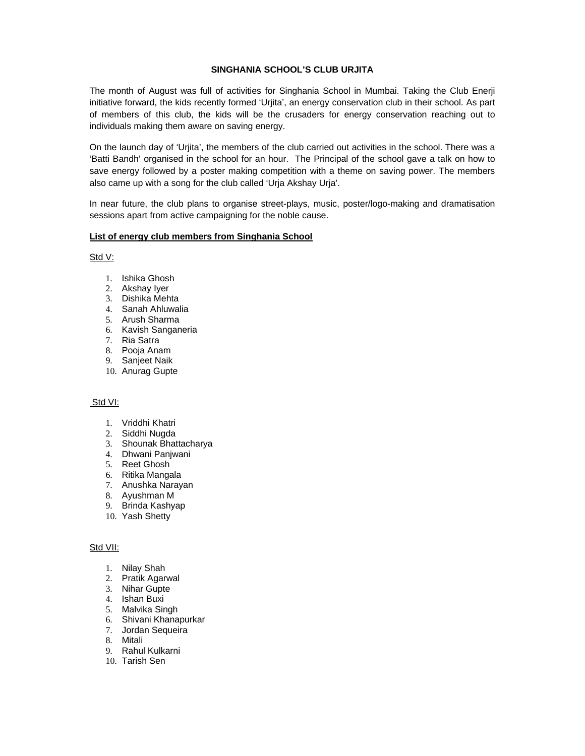## **SINGHANIA SCHOOL'S CLUB URJITA**

The month of August was full of activities for Singhania School in Mumbai. Taking the Club Enerji initiative forward, the kids recently formed 'Urjita', an energy conservation club in their school. As part of members of this club, the kids will be the crusaders for energy conservation reaching out to individuals making them aware on saving energy.

On the launch day of 'Urjita', the members of the club carried out activities in the school. There was a 'Batti Bandh' organised in the school for an hour. The Principal of the school gave a talk on how to save energy followed by a poster making competition with a theme on saving power. The members also came up with a song for the club called 'Urja Akshay Urja'.

In near future, the club plans to organise street-plays, music, poster/logo-making and dramatisation sessions apart from active campaigning for the noble cause.

## **List of energy club members from Singhania School**

Std V:

- 1. Ishika Ghosh
- 2. Akshay Iyer
- 3. Dishika Mehta
- 4. Sanah Ahluwalia
- 5. Arush Sharma
- 6. Kavish Sanganeria
- 7. Ria Satra
- 8. Pooja Anam
- 9. Sanjeet Naik
- 10. Anurag Gupte

## Std VI:

- 1. Vriddhi Khatri
- 2. Siddhi Nugda
- 3. Shounak Bhattacharya
- 4. Dhwani Panjwani
- 5. Reet Ghosh
- 6. Ritika Mangala
- 7. Anushka Narayan
- 8. Ayushman M
- 9. Brinda Kashyap
- 10. Yash Shetty

## Std VII:

- 1. Nilay Shah
- 2. Pratik Agarwal
- 3. Nihar Gupte
- 4. Ishan Buxi
- 5. Malvika Singh
- 6. Shivani Khanapurkar
- 7. Jordan Sequeira
- 8. Mitali
- 9. Rahul Kulkarni
- 10. Tarish Sen